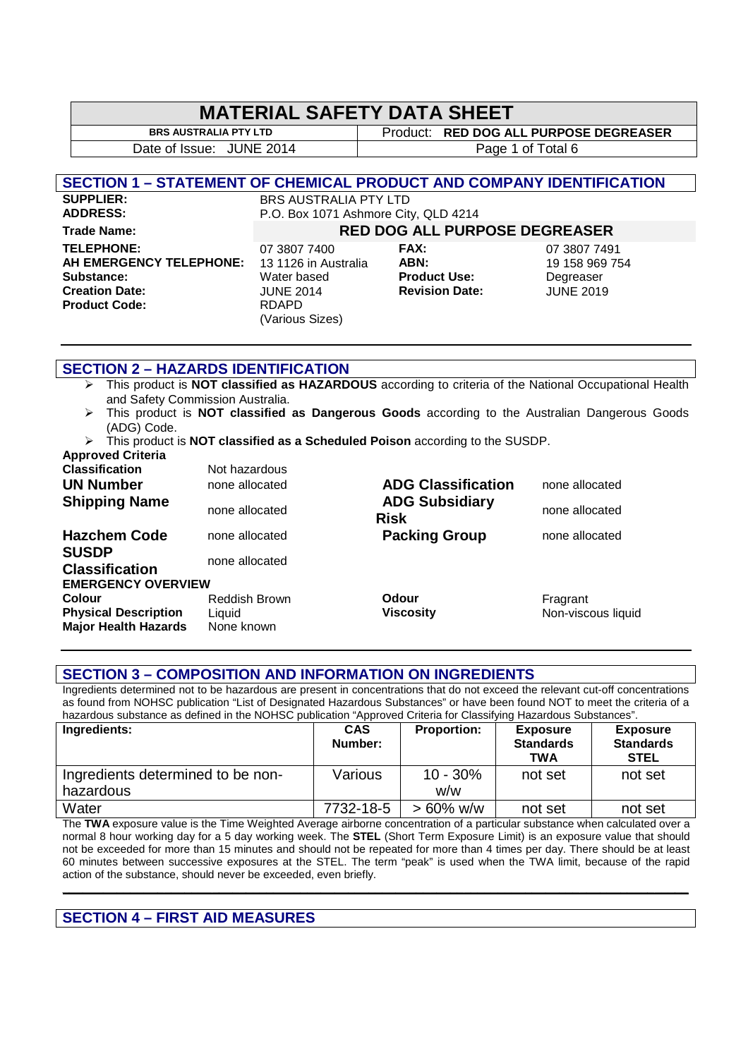# **MATERIAL SAFETY DATA SHEET**<br>BRS AUSTRALIA PTY LTD FROM LETTING A

**Product: RED DOG ALL PURPOSE DEGREASER** Date of Issue: JUNE 2014 and Transfer Page 1 of Total 6

# **SECTION 1 – STATEMENT OF CHEMICAL PRODUCT AND COMPANY IDENTIFICATION**

## **SUPPLIER:** BRS AUSTRALIA PTY LTD<br> **ADDRESS:** P.O. Box 1071 Ashmore City P.O. Box 1071 Ashmore City, QLD 4214

# **Trade Name: RED DOG ALL PURPOSE DEGREASER**

**TELEPHONE:** 07 3807 7400 **FAX:** 07 3807 7491 **AH EMERGENCY TELEPHONE:** 13 1126 in Australia **ABN:** 19 158 969 754 **Substance:** Water based **Product Use:** Degreaser Product Code: RDAPD

**Creation Date:** JUNE 2014 **Revision Date:** JUNE 2019 (Various Sizes)

# **SECTION 2 – HAZARDS IDENTIFICATION**

- This product is **NOT classified as HAZARDOUS** according to criteria of the National Occupational Health and Safety Commission Australia.
- This product is **NOT classified as Dangerous Goods** according to the Australian Dangerous Goods (ADG) Code.
- This product is **NOT classified as a Scheduled Poison** according to the SUSDP. **Approved Criteria**

| <b>Classification</b><br><b>UN Number</b>                                   | Not hazardous<br>none allocated              | <b>ADG Classification</b>            | none allocated                 |
|-----------------------------------------------------------------------------|----------------------------------------------|--------------------------------------|--------------------------------|
| <b>Shipping Name</b>                                                        | none allocated                               | <b>ADG Subsidiary</b><br><b>Risk</b> | none allocated                 |
| <b>Hazchem Code</b><br><b>SUSDP</b>                                         | none allocated                               | <b>Packing Group</b>                 | none allocated                 |
| <b>Classification</b>                                                       | none allocated                               |                                      |                                |
| <b>EMERGENCY OVERVIEW</b>                                                   |                                              |                                      |                                |
| <b>Colour</b><br><b>Physical Description</b><br><b>Major Health Hazards</b> | <b>Reddish Brown</b><br>Liquid<br>None known | <b>Odour</b><br><b>Viscosity</b>     | Fragrant<br>Non-viscous liquid |

# **SECTION 3 – COMPOSITION AND INFORMATION ON INGREDIENTS**

Ingredients determined not to be hazardous are present in concentrations that do not exceed the relevant cut-off concentrations as found from NOHSC publication "List of Designated Hazardous Substances" or have been found NOT to meet the criteria of a hazardous substance as defined in the NOHSC publication "Approved Criteria for Classifying Hazardous Substances".

| Ingredients:                      | <b>CAS</b><br>Number: | <b>Proportion:</b> | <b>Exposure</b><br><b>Standards</b><br><b>TWA</b> | <b>Exposure</b><br><b>Standards</b><br><b>STEL</b> |
|-----------------------------------|-----------------------|--------------------|---------------------------------------------------|----------------------------------------------------|
| Ingredients determined to be non- | Various               | $10 - 30%$         | not set                                           | not set                                            |
| hazardous                         |                       | w/w                |                                                   |                                                    |
| Water                             | 7732-18-5             | $> 60\%$ w/w       | not set                                           | not set                                            |

The **TWA** exposure value is the Time Weighted Average airborne concentration of a particular substance when calculated over a normal 8 hour working day for a 5 day working week. The **STEL** (Short Term Exposure Limit) is an exposure value that should not be exceeded for more than 15 minutes and should not be repeated for more than 4 times per day. There should be at least 60 minutes between successive exposures at the STEL. The term "peak" is used when the TWA limit, because of the rapid action of the substance, should never be exceeded, even briefly.

**\_\_\_\_\_\_\_\_\_\_\_\_\_\_\_\_\_\_\_\_\_\_\_\_\_\_\_\_\_\_\_\_\_\_\_\_\_\_\_\_\_\_\_\_\_\_\_\_\_\_\_\_\_\_\_\_\_\_\_\_\_\_\_\_\_\_\_\_\_\_\_\_\_\_\_\_\_\_\_\_\_\_\_\_\_\_\_\_\_\_\_\_** 

# **SECTION 4 – FIRST AID MEASURES**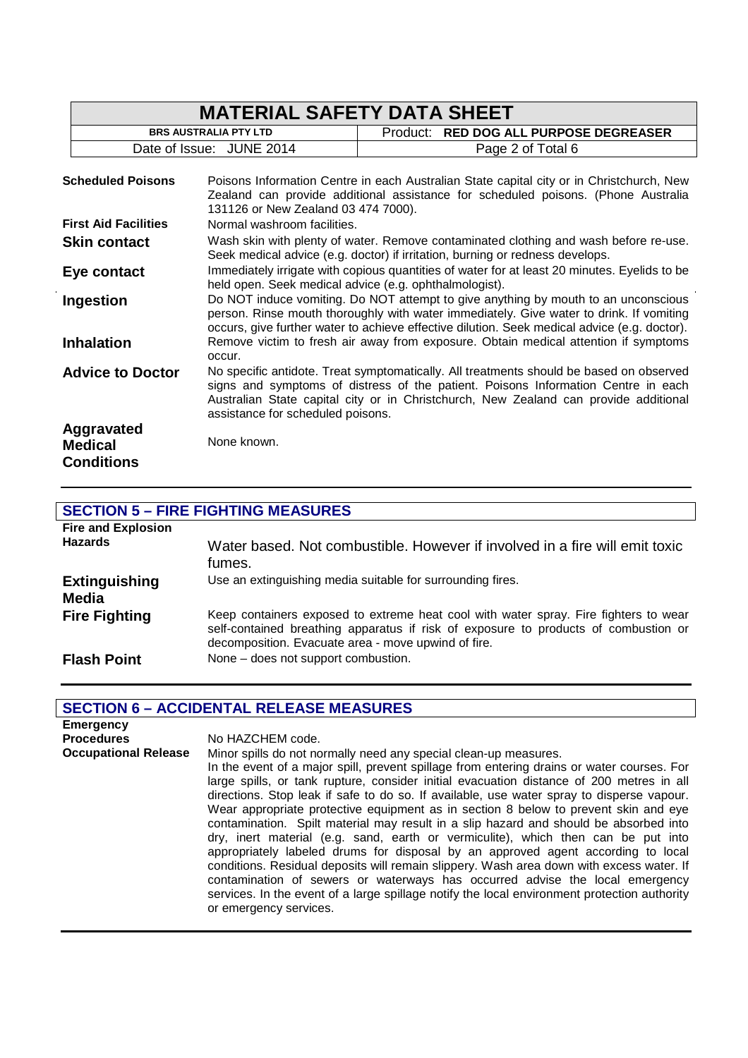|                                                   | <b>MATERIAL SAFETY DATA SHEET</b>                                                                                                                                                                                                                                                                         |                                                                                     |  |
|---------------------------------------------------|-----------------------------------------------------------------------------------------------------------------------------------------------------------------------------------------------------------------------------------------------------------------------------------------------------------|-------------------------------------------------------------------------------------|--|
| <b>BRS AUSTRALIA PTY LTD</b>                      |                                                                                                                                                                                                                                                                                                           | Product:<br><b>RED DOG ALL PURPOSE DEGREASER</b>                                    |  |
|                                                   | Date of Issue: JUNE 2014                                                                                                                                                                                                                                                                                  | Page 2 of Total 6                                                                   |  |
| <b>Scheduled Poisons</b>                          | Poisons Information Centre in each Australian State capital city or in Christchurch, New<br>Zealand can provide additional assistance for scheduled poisons. (Phone Australia<br>131126 or New Zealand 03 474 7000).                                                                                      |                                                                                     |  |
| <b>First Aid Facilities</b>                       | Normal washroom facilities.                                                                                                                                                                                                                                                                               |                                                                                     |  |
| <b>Skin contact</b>                               | Wash skin with plenty of water. Remove contaminated clothing and wash before re-use.<br>Seek medical advice (e.g. doctor) if irritation, burning or redness develops.                                                                                                                                     |                                                                                     |  |
| Eye contact                                       | Immediately irrigate with copious quantities of water for at least 20 minutes. Eyelids to be<br>held open. Seek medical advice (e.g. ophthalmologist).                                                                                                                                                    |                                                                                     |  |
| Ingestion                                         | Do NOT induce vomiting. Do NOT attempt to give anything by mouth to an unconscious<br>person. Rinse mouth thoroughly with water immediately. Give water to drink. If vomiting<br>occurs, give further water to achieve effective dilution. Seek medical advice (e.g. doctor).                             |                                                                                     |  |
| <b>Inhalation</b>                                 | occur.                                                                                                                                                                                                                                                                                                    | Remove victim to fresh air away from exposure. Obtain medical attention if symptoms |  |
| <b>Advice to Doctor</b>                           | No specific antidote. Treat symptomatically. All treatments should be based on observed<br>signs and symptoms of distress of the patient. Poisons Information Centre in each<br>Australian State capital city or in Christchurch, New Zealand can provide additional<br>assistance for scheduled poisons. |                                                                                     |  |
| Aggravated<br><b>Medical</b><br><b>Conditions</b> | None known.                                                                                                                                                                                                                                                                                               |                                                                                     |  |

# **SECTION 5 – FIRE FIGHTING MEASURES**

| <b>Fire and Explosion</b><br><b>Hazards</b> | Water based. Not combustible. However if involved in a fire will emit toxic<br>fumes.                                                                                                                                              |
|---------------------------------------------|------------------------------------------------------------------------------------------------------------------------------------------------------------------------------------------------------------------------------------|
| <b>Extinguishing</b><br>Media               | Use an extinguishing media suitable for surrounding fires.                                                                                                                                                                         |
| <b>Fire Fighting</b>                        | Keep containers exposed to extreme heat cool with water spray. Fire fighters to wear<br>self-contained breathing apparatus if risk of exposure to products of combustion or<br>decomposition. Evacuate area - move upwind of fire. |
| <b>Flash Point</b>                          | None - does not support combustion.                                                                                                                                                                                                |

# **SECTION 6 – ACCIDENTAL RELEASE MEASURES**

| <b>Emergency</b>            |                                                                                                                                                                                                                                                                                                                                                                                                                                                                                                                                                                                                                                                                                                                                                                                                                                                                                                                                                                                                                        |
|-----------------------------|------------------------------------------------------------------------------------------------------------------------------------------------------------------------------------------------------------------------------------------------------------------------------------------------------------------------------------------------------------------------------------------------------------------------------------------------------------------------------------------------------------------------------------------------------------------------------------------------------------------------------------------------------------------------------------------------------------------------------------------------------------------------------------------------------------------------------------------------------------------------------------------------------------------------------------------------------------------------------------------------------------------------|
| <b>Procedures</b>           | No HAZCHEM code.                                                                                                                                                                                                                                                                                                                                                                                                                                                                                                                                                                                                                                                                                                                                                                                                                                                                                                                                                                                                       |
| <b>Occupational Release</b> | Minor spills do not normally need any special clean-up measures.<br>In the event of a major spill, prevent spillage from entering drains or water courses. For<br>large spills, or tank rupture, consider initial evacuation distance of 200 metres in all<br>directions. Stop leak if safe to do so. If available, use water spray to disperse vapour.<br>Wear appropriate protective equipment as in section 8 below to prevent skin and eye<br>contamination. Spilt material may result in a slip hazard and should be absorbed into<br>dry, inert material (e.g. sand, earth or vermiculite), which then can be put into<br>appropriately labeled drums for disposal by an approved agent according to local<br>conditions. Residual deposits will remain slippery. Wash area down with excess water. If<br>contamination of sewers or waterways has occurred advise the local emergency<br>services. In the event of a large spillage notify the local environment protection authority<br>or emergency services. |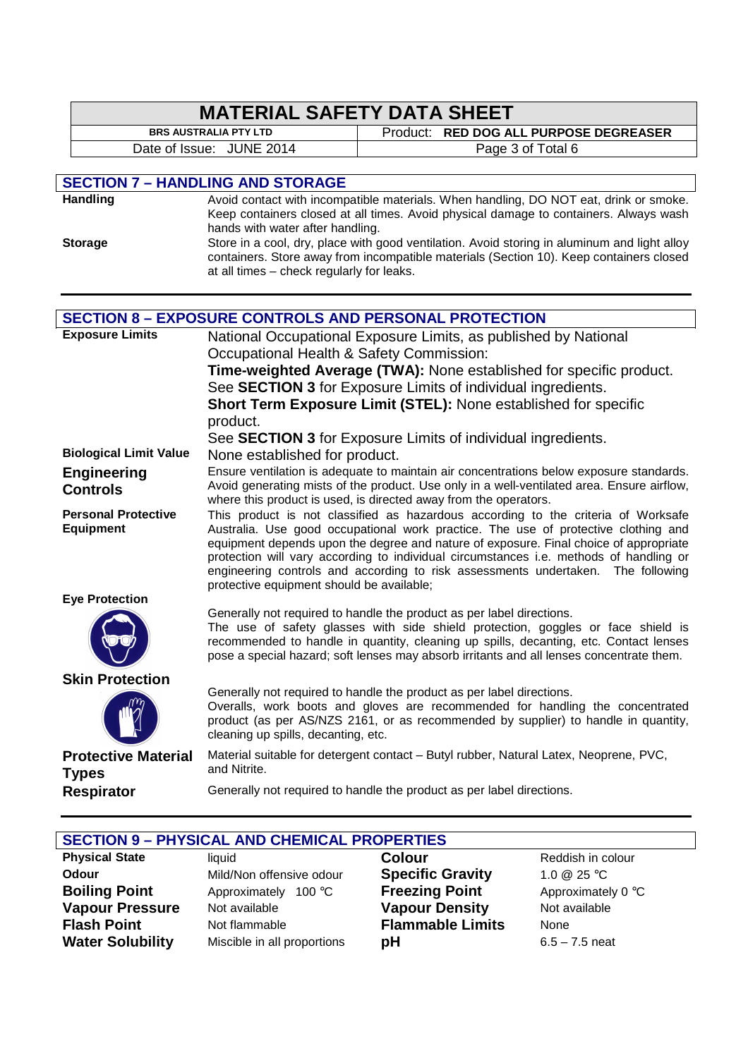|                               |                                                                                                                                                                | <b>MATERIAL SAFETY DATA SHEET</b>                                                                                                                                               |  |
|-------------------------------|----------------------------------------------------------------------------------------------------------------------------------------------------------------|---------------------------------------------------------------------------------------------------------------------------------------------------------------------------------|--|
|                               | <b>BRS AUSTRALIA PTY LTD</b>                                                                                                                                   | Product: RED DOG ALL PURPOSE DEGREASER                                                                                                                                          |  |
|                               | Date of Issue: JUNE 2014                                                                                                                                       | Page 3 of Total 6                                                                                                                                                               |  |
|                               |                                                                                                                                                                |                                                                                                                                                                                 |  |
| <b>Handling</b>               | <b>SECTION 7 - HANDLING AND STORAGE</b>                                                                                                                        | Avoid contact with incompatible materials. When handling, DO NOT eat, drink or smoke.                                                                                           |  |
|                               |                                                                                                                                                                | Keep containers closed at all times. Avoid physical damage to containers. Always wash                                                                                           |  |
|                               | hands with water after handling.                                                                                                                               |                                                                                                                                                                                 |  |
| <b>Storage</b>                |                                                                                                                                                                | Store in a cool, dry, place with good ventilation. Avoid storing in aluminum and light alloy                                                                                    |  |
|                               | at all times - check regularly for leaks.                                                                                                                      | containers. Store away from incompatible materials (Section 10). Keep containers closed                                                                                         |  |
|                               |                                                                                                                                                                |                                                                                                                                                                                 |  |
|                               |                                                                                                                                                                |                                                                                                                                                                                 |  |
|                               |                                                                                                                                                                | <b>SECTION 8 - EXPOSURE CONTROLS AND PERSONAL PROTECTION</b>                                                                                                                    |  |
| <b>Exposure Limits</b>        |                                                                                                                                                                | National Occupational Exposure Limits, as published by National                                                                                                                 |  |
|                               | Occupational Health & Safety Commission:                                                                                                                       |                                                                                                                                                                                 |  |
|                               |                                                                                                                                                                | Time-weighted Average (TWA): None established for specific product.<br>See SECTION 3 for Exposure Limits of individual ingredients.                                             |  |
|                               |                                                                                                                                                                |                                                                                                                                                                                 |  |
|                               | Short Term Exposure Limit (STEL): None established for specific<br>product.                                                                                    |                                                                                                                                                                                 |  |
|                               | See SECTION 3 for Exposure Limits of individual ingredients.                                                                                                   |                                                                                                                                                                                 |  |
| <b>Biological Limit Value</b> | None established for product.                                                                                                                                  |                                                                                                                                                                                 |  |
| <b>Engineering</b>            | Ensure ventilation is adequate to maintain air concentrations below exposure standards.                                                                        |                                                                                                                                                                                 |  |
| <b>Controls</b>               | Avoid generating mists of the product. Use only in a well-ventilated area. Ensure airflow,<br>where this product is used, is directed away from the operators. |                                                                                                                                                                                 |  |
| <b>Personal Protective</b>    | This product is not classified as hazardous according to the criteria of Worksafe                                                                              |                                                                                                                                                                                 |  |
| <b>Equipment</b>              |                                                                                                                                                                | Australia. Use good occupational work practice. The use of protective clothing and                                                                                              |  |
|                               |                                                                                                                                                                | equipment depends upon the degree and nature of exposure. Final choice of appropriate<br>protection will vary according to individual circumstances i.e. methods of handling or |  |
|                               |                                                                                                                                                                | engineering controls and according to risk assessments undertaken. The following                                                                                                |  |
|                               | protective equipment should be available;                                                                                                                      |                                                                                                                                                                                 |  |
| <b>Eye Protection</b>         |                                                                                                                                                                | Generally not required to handle the product as per label directions.                                                                                                           |  |
|                               |                                                                                                                                                                | The use of safety glasses with side shield protection, goggles or face shield is                                                                                                |  |
|                               |                                                                                                                                                                | recommended to handle in quantity, cleaning up spills, decanting, etc. Contact lenses                                                                                           |  |
|                               |                                                                                                                                                                | pose a special hazard; soft lenses may absorb irritants and all lenses concentrate them.                                                                                        |  |
| <b>Skin Protection</b>        |                                                                                                                                                                |                                                                                                                                                                                 |  |
|                               |                                                                                                                                                                | Generally not required to handle the product as per label directions.<br>Overalls, work boots and gloves are recommended for handling the concentrated                          |  |
|                               |                                                                                                                                                                | product (as per AS/NZS 2161, or as recommended by supplier) to handle in quantity,                                                                                              |  |
|                               | cleaning up spills, decanting, etc.                                                                                                                            |                                                                                                                                                                                 |  |
| <b>Protective Material</b>    |                                                                                                                                                                | Material suitable for detergent contact - Butyl rubber, Natural Latex, Neoprene, PVC,                                                                                           |  |
| <b>Types</b>                  | and Nitrite.                                                                                                                                                   |                                                                                                                                                                                 |  |
| <b>Respirator</b>             |                                                                                                                                                                | Generally not required to handle the product as per label directions.                                                                                                           |  |
|                               |                                                                                                                                                                |                                                                                                                                                                                 |  |

|                         | <b>SECTION 9 - PHYSICAL AND CHEMICAL PROPERTIES</b> |                         |                    |  |
|-------------------------|-----------------------------------------------------|-------------------------|--------------------|--|
| <b>Physical State</b>   | liauid                                              | <b>Colour</b>           | Reddish in colour  |  |
| <b>Odour</b>            | Mild/Non offensive odour                            | <b>Specific Gravity</b> | 1.0 $@$ 25 °C      |  |
| <b>Boiling Point</b>    | Approximately 100 °C                                | <b>Freezing Point</b>   | Approximately 0 °C |  |
| <b>Vapour Pressure</b>  | Not available                                       | <b>Vapour Density</b>   | Not available      |  |
| Flash Point             | Not flammable                                       | <b>Flammable Limits</b> | None               |  |
| <b>Water Solubility</b> | Miscible in all proportions                         | рH                      | $6.5 - 7.5$ neat   |  |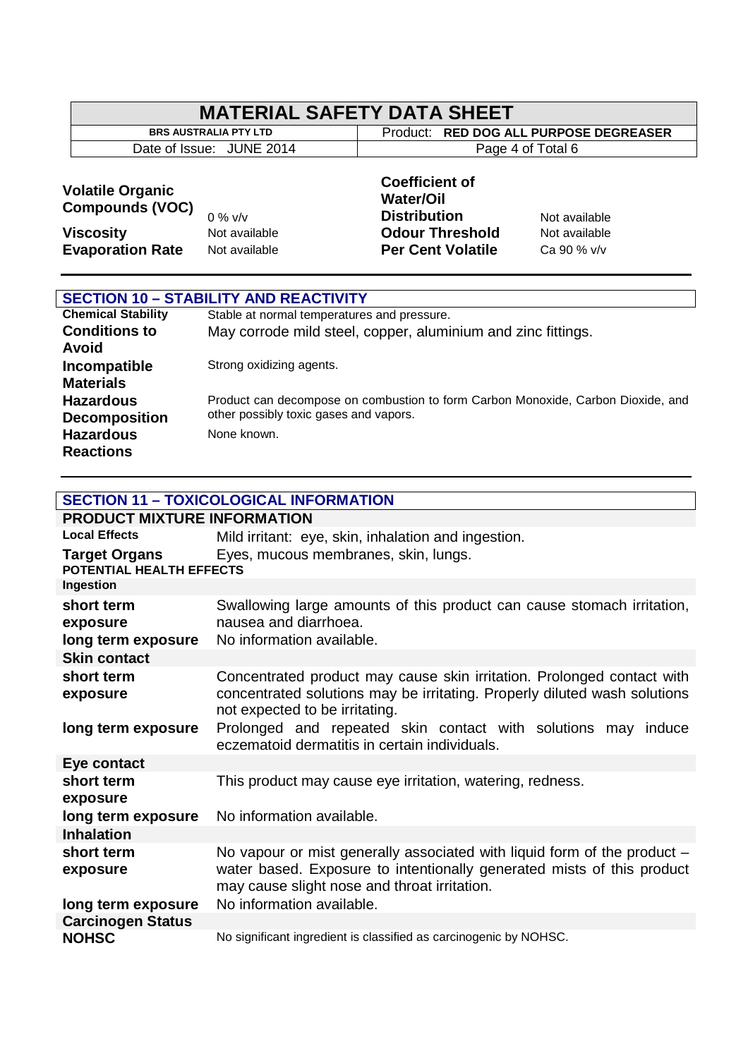| <b>MATERIAL SAFETY DATA SHEET</b> |  |
|-----------------------------------|--|
|-----------------------------------|--|

Date of Issue: JUNE 2014 Page 4 of Total 6

**BRS AUSTRALIA PTY LTD** Product: **RED DOG ALL PURPOSE DEGREASER** 

# **Volatile Organic Compounds (VOC)**

# 0 % v/v

**Coefficient of Water/Oil Distribution** Not available **Viscosity Not available Odour Threshold** Not available **Evaporation Rate** Not available **Per Cent Volatile** Ca 90 % v/v

| <b>SECTION 10 - STABILITY AND REACTIVITY</b> |                                                                                  |  |
|----------------------------------------------|----------------------------------------------------------------------------------|--|
| <b>Chemical Stability</b>                    | Stable at normal temperatures and pressure.                                      |  |
| <b>Conditions to</b>                         | May corrode mild steel, copper, aluminium and zinc fittings.                     |  |
| Avoid                                        |                                                                                  |  |
| Incompatible                                 | Strong oxidizing agents.                                                         |  |
| <b>Materials</b>                             |                                                                                  |  |
| <b>Hazardous</b>                             | Product can decompose on combustion to form Carbon Monoxide, Carbon Dioxide, and |  |
| <b>Decomposition</b>                         | other possibly toxic gases and vapors.                                           |  |
| <b>Hazardous</b>                             | None known.                                                                      |  |
| <b>Reactions</b>                             |                                                                                  |  |

**SECTION 11 – TOXICOLOGICAL INFORMATION**

| PRODUCT MIXTURE INFORMATION                      |                                                                                                                                                                                                    |
|--------------------------------------------------|----------------------------------------------------------------------------------------------------------------------------------------------------------------------------------------------------|
| <b>Local Effects</b>                             | Mild irritant: eye, skin, inhalation and ingestion.                                                                                                                                                |
| <b>Target Organs</b><br>POTENTIAL HEALTH EFFECTS | Eyes, mucous membranes, skin, lungs.                                                                                                                                                               |
| Ingestion                                        |                                                                                                                                                                                                    |
| short term<br>exposure<br>long term exposure     | Swallowing large amounts of this product can cause stomach irritation,<br>nausea and diarrhoea.<br>No information available.                                                                       |
| <b>Skin contact</b>                              |                                                                                                                                                                                                    |
| short term<br>exposure                           | Concentrated product may cause skin irritation. Prolonged contact with<br>concentrated solutions may be irritating. Properly diluted wash solutions<br>not expected to be irritating.              |
| long term exposure                               | Prolonged and repeated skin contact with solutions may induce<br>eczematoid dermatitis in certain individuals.                                                                                     |
| Eye contact                                      |                                                                                                                                                                                                    |
| short term<br>exposure                           | This product may cause eye irritation, watering, redness.                                                                                                                                          |
| long term exposure                               | No information available.                                                                                                                                                                          |
| <b>Inhalation</b>                                |                                                                                                                                                                                                    |
| short term<br>exposure                           | No vapour or mist generally associated with liquid form of the product -<br>water based. Exposure to intentionally generated mists of this product<br>may cause slight nose and throat irritation. |
| long term exposure                               | No information available.                                                                                                                                                                          |
| <b>Carcinogen Status</b>                         |                                                                                                                                                                                                    |
| <b>NOHSC</b>                                     | No significant ingredient is classified as carcinogenic by NOHSC.                                                                                                                                  |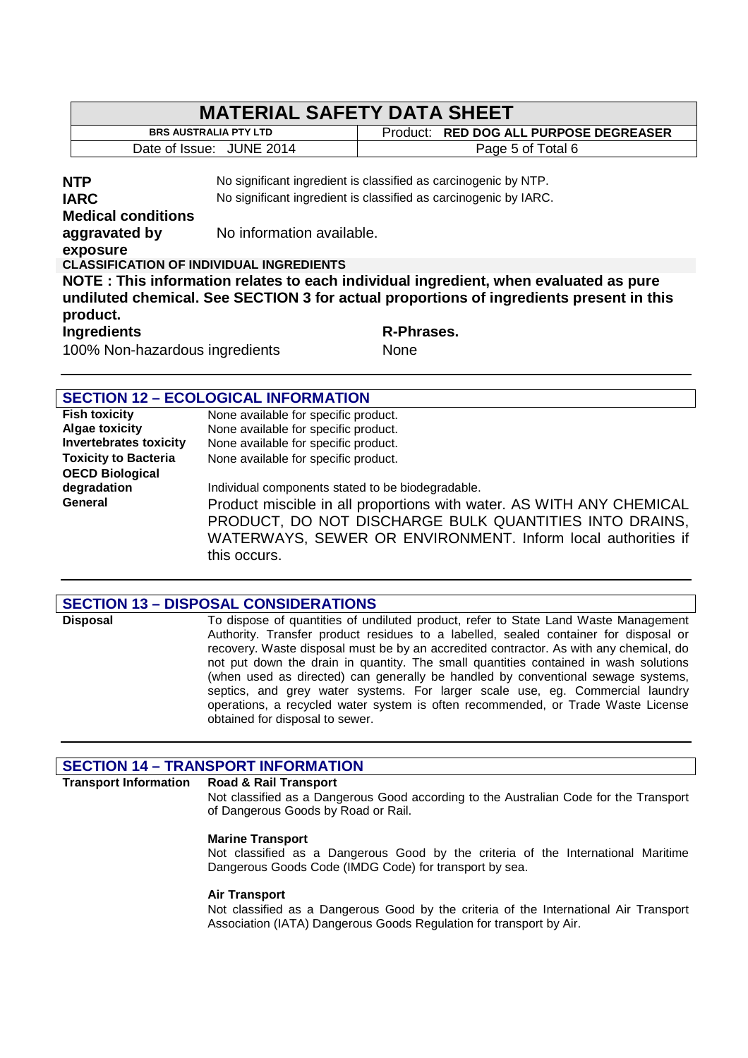| <b>MATERIAL SAFETY DATA SHEET</b>                                                                                                                                                          |                                                                  |                                                                 |  |
|--------------------------------------------------------------------------------------------------------------------------------------------------------------------------------------------|------------------------------------------------------------------|-----------------------------------------------------------------|--|
| <b>BRS AUSTRALIA PTY LTD</b>                                                                                                                                                               |                                                                  | Product: RED DOG ALL PURPOSE DEGREASER                          |  |
| Date of Issue: JUNE 2014                                                                                                                                                                   |                                                                  | Page 5 of Total 6                                               |  |
| <b>NTP</b>                                                                                                                                                                                 |                                                                  | No significant ingredient is classified as carcinogenic by NTP. |  |
| <b>IARC</b>                                                                                                                                                                                | No significant ingredient is classified as carcinogenic by IARC. |                                                                 |  |
| <b>Medical conditions</b>                                                                                                                                                                  |                                                                  |                                                                 |  |
| aggravated by<br>exposure                                                                                                                                                                  | No information available.                                        |                                                                 |  |
| <b>CLASSIFICATION OF INDIVIDUAL INGREDIENTS</b>                                                                                                                                            |                                                                  |                                                                 |  |
| NOTE:This information relates to each individual ingredient, when evaluated as pure<br>undiluted chemical. See SECTION 3 for actual proportions of ingredients present in this<br>product. |                                                                  |                                                                 |  |
| <b>Ingredients</b>                                                                                                                                                                         |                                                                  | R-Phrases.                                                      |  |
| 100% Non-hazardous ingredients                                                                                                                                                             |                                                                  | <b>None</b>                                                     |  |

# **SECTION 12 – ECOLOGICAL INFORMATION**

| <b>Fish toxicity</b>          | None available for specific product.                                 |  |  |
|-------------------------------|----------------------------------------------------------------------|--|--|
| <b>Algae toxicity</b>         | None available for specific product.                                 |  |  |
| <b>Invertebrates toxicity</b> | None available for specific product.                                 |  |  |
| <b>Toxicity to Bacteria</b>   | None available for specific product.                                 |  |  |
| <b>OECD Biological</b>        |                                                                      |  |  |
| degradation                   | Individual components stated to be biodegradable.                    |  |  |
| General                       | Product miscible in all proportions with water. AS WITH ANY CHEMICAL |  |  |
|                               | PRODUCT, DO NOT DISCHARGE BULK QUANTITIES INTO DRAINS,               |  |  |
|                               | WATERWAYS, SEWER OR ENVIRONMENT. Inform local authorities if         |  |  |
|                               |                                                                      |  |  |
|                               | this occurs.                                                         |  |  |

## **SECTION 13 – DISPOSAL CONSIDERATIONS**

**Disposal** To dispose of quantities of undiluted product, refer to State Land Waste Management Authority. Transfer product residues to a labelled, sealed container for disposal or recovery. Waste disposal must be by an accredited contractor. As with any chemical, do not put down the drain in quantity. The small quantities contained in wash solutions (when used as directed) can generally be handled by conventional sewage systems, septics, and grey water systems. For larger scale use, eg. Commercial laundry operations, a recycled water system is often recommended, or Trade Waste License obtained for disposal to sewer.

# **SECTION 14 – TRANSPORT INFORMATION**

### **Transport Information Road & Rail Transport**

Not classified as a Dangerous Good according to the Australian Code for the Transport of Dangerous Goods by Road or Rail.

### **Marine Transport**

Not classified as a Dangerous Good by the criteria of the International Maritime Dangerous Goods Code (IMDG Code) for transport by sea.

### **Air Transport**

Not classified as a Dangerous Good by the criteria of the International Air Transport Association (IATA) Dangerous Goods Regulation for transport by Air.